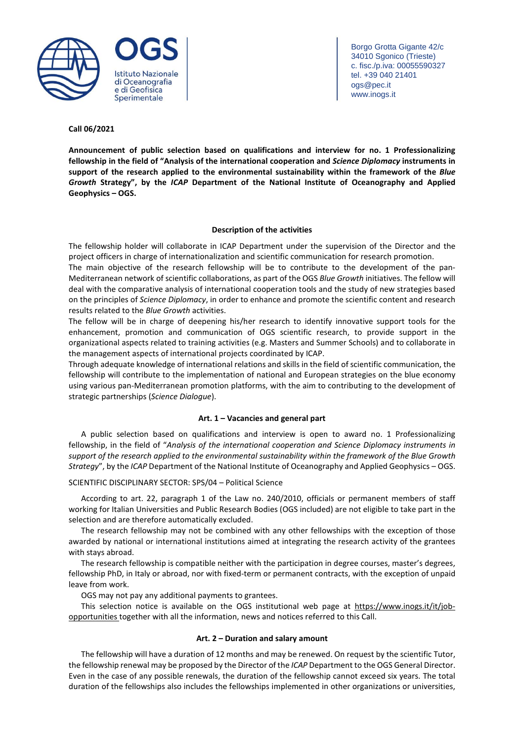

Borgo Grotta Gigante 42/c 34010 Sgonico (Trieste) c. fisc./p.iva: 00055590327 tel. +39 040 21401 ogs@pec.it www.inogs.it

## **Call 06/2021**

**Announcement of public selection based on qualifications and interview for no. 1 Professionalizing fellowship in the field of "Analysis of the international cooperation and** *Science Diplomacy* **instruments in support of the research applied to the environmental sustainability within the framework of the** *Blue Growth* **Strategy", by the** *ICAP* **Department of the National Institute of Oceanography and Applied Geophysics – OGS.**

## **Description of the activities**

The fellowship holder will collaborate in ICAP Department under the supervision of the Director and the project officers in charge of internationalization and scientific communication for research promotion.

The main objective of the research fellowship will be to contribute to the development of the pan-Mediterranean network of scientific collaborations, as part of the OGS *Blue Growth* initiatives. The fellow will deal with the comparative analysis of international cooperation tools and the study of new strategies based on the principles of *Science Diplomacy*, in order to enhance and promote the scientific content and research results related to the *Blue Growth* activities.

The fellow will be in charge of deepening his/her research to identify innovative support tools for the enhancement, promotion and communication of OGS scientific research, to provide support in the organizational aspects related to training activities (e.g. Masters and Summer Schools) and to collaborate in the management aspects of international projects coordinated by ICAP.

Through adequate knowledge of international relations and skills in the field of scientific communication, the fellowship will contribute to the implementation of national and European strategies on the blue economy using various pan-Mediterranean promotion platforms, with the aim to contributing to the development of strategic partnerships (*Science Dialogue*).

### **Art. 1 – Vacancies and general part**

A public selection based on qualifications and interview is open to award no. 1 Professionalizing fellowship, in the field of "*Analysis of the international cooperation and Science Diplomacy instruments in support of the research applied to the environmental sustainability within the framework of the Blue Growth Strategy*", by the *ICAP* Department of the National Institute of Oceanography and Applied Geophysics – OGS.

### SCIENTIFIC DISCIPLINARY SECTOR: SPS/04 – Political Science

According to art. 22, paragraph 1 of the Law no. 240/2010, officials or permanent members of staff working for Italian Universities and Public Research Bodies (OGS included) are not eligible to take part in the selection and are therefore automatically excluded.

The research fellowship may not be combined with any other fellowships with the exception of those awarded by national or international institutions aimed at integrating the research activity of the grantees with stays abroad.

The research fellowship is compatible neither with the participation in degree courses, master's degrees, fellowship PhD, in Italy or abroad, nor with fixed-term or permanent contracts, with the exception of unpaid leave from work.

OGS may not pay any additional payments to grantees.

This selection notice is available on the OGS institutional web page at [https://www.inogs.it/it/job](https://www.inogs.it/it/job-opportunities)[opportunities](https://www.inogs.it/it/job-opportunities) together with all the information, news and notices referred to this Call.

### **Art. 2 – Duration and salary amount**

The fellowship will have a duration of 12 months and may be renewed. On request by the scientific Tutor, the fellowship renewal may be proposed by the Director of the *ICAP* Department to the OGS General Director. Even in the case of any possible renewals, the duration of the fellowship cannot exceed six years. The total duration of the fellowships also includes the fellowships implemented in other organizations or universities,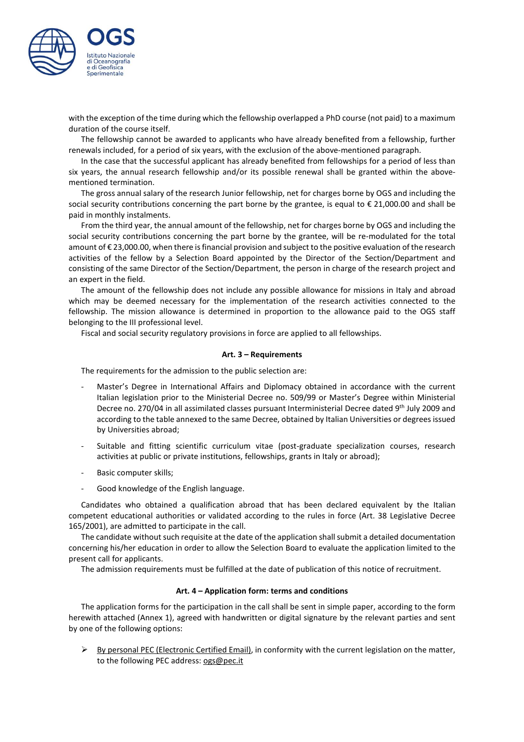

with the exception of the time during which the fellowship overlapped a PhD course (not paid) to a maximum duration of the course itself.

The fellowship cannot be awarded to applicants who have already benefited from a fellowship, further renewals included, for a period of six years, with the exclusion of the above-mentioned paragraph.

In the case that the successful applicant has already benefited from fellowships for a period of less than six years, the annual research fellowship and/or its possible renewal shall be granted within the abovementioned termination.

The gross annual salary of the research Junior fellowship, net for charges borne by OGS and including the social security contributions concerning the part borne by the grantee, is equal to € 21,000.00 and shall be paid in monthly instalments.

From the third year, the annual amount of the fellowship, net for charges borne by OGS and including the social security contributions concerning the part borne by the grantee, will be re-modulated for the total amount of € 23,000.00, when there isfinancial provision and subject to the positive evaluation of the research activities of the fellow by a Selection Board appointed by the Director of the Section/Department and consisting of the same Director of the Section/Department, the person in charge of the research project and an expert in the field.

The amount of the fellowship does not include any possible allowance for missions in Italy and abroad which may be deemed necessary for the implementation of the research activities connected to the fellowship. The mission allowance is determined in proportion to the allowance paid to the OGS staff belonging to the III professional level.

Fiscal and social security regulatory provisions in force are applied to all fellowships.

#### **Art. 3 – Requirements**

The requirements for the admission to the public selection are:

- Master's Degree in International Affairs and Diplomacy obtained in accordance with the current Italian legislation prior to the Ministerial Decree no. 509/99 or Master's Degree within Ministerial Decree no. 270/04 in all assimilated classes pursuant Interministerial Decree dated 9<sup>th</sup> July 2009 and according to the table annexed to the same Decree, obtained by Italian Universities or degrees issued by Universities abroad;
- Suitable and fitting scientific curriculum vitae (post-graduate specialization courses, research activities at public or private institutions, fellowships, grants in Italy or abroad);
- Basic computer skills;
- Good knowledge of the English language.

Candidates who obtained a qualification abroad that has been declared equivalent by the Italian competent educational authorities or validated according to the rules in force (Art. 38 Legislative Decree 165/2001), are admitted to participate in the call.

The candidate without such requisite at the date of the application shallsubmit a detailed documentation concerning his/her education in order to allow the Selection Board to evaluate the application limited to the present call for applicants.

The admission requirements must be fulfilled at the date of publication of this notice of recruitment.

#### **Art. 4 – Application form: terms and conditions**

The application forms for the participation in the call shall be sent in simple paper, according to the form herewith attached (Annex 1), agreed with handwritten or digital signature by the relevant parties and sent by one of the following options:

By personal PEC (Electronic Certified Email), in conformity with the current legislation on the matter, to the following PEC address: [ogs@pec.it](mailto:ogs@pec.it)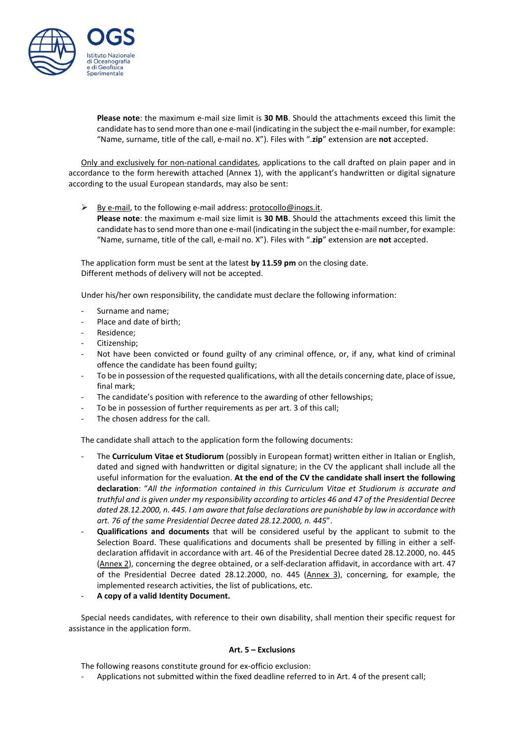

**Please note**: the maximum e-mail size limit is **30 MB**. Should the attachments exceed this limit the candidate hasto send more than one e-mail (indicating in the subject the e-mail number, for example: "Name, surname, title of the call, e-mail no. X"). Files with ".**zip**" extension are **not** accepted.

Only and exclusively for non-national candidates, applications to the call drafted on plain paper and in accordance to the form herewith attached (Annex 1), with the applicant's handwritten or digital signature according to the usual European standards, may also be sent:

 $\triangleright$  By e-mail, to the following e-mail address: [protocollo@inogs.it.](mailto:protocollo@inogs.it) **Please note**: the maximum e-mail size limit is **30 MB**. Should the attachments exceed this limit the

candidate hasto send more than one e-mail (indicating in the subject the e-mail number, for example: "Name, surname, title of the call, e-mail no. X"). Files with ".**zip**" extension are **not** accepted.

The application form must be sent at the latest **by 11.59 pm** on the closing date. Different methods of delivery will not be accepted.

Under his/her own responsibility, the candidate must declare the following information:

- Surname and name;
- Place and date of birth;
- Residence;
- Citizenship;
- Not have been convicted or found guilty of any criminal offence, or, if any, what kind of criminal offence the candidate has been found guilty;
- To be in possession of the requested qualifications, with all the details concerning date, place of issue, final mark;
- The candidate's position with reference to the awarding of other fellowships;
- To be in possession of further requirements as per art. 3 of this call;
- The chosen address for the call.

The candidate shall attach to the application form the following documents:

- The **Curriculum Vitae et Studiorum** (possibly in European format) written either in Italian or English, dated and signed with handwritten or digital signature; in the CV the applicant shall include all the useful information for the evaluation. **At the end of the CV the candidate shall insert the following declaration**: "*All the information contained in this Curriculum Vitae et Studiorum is accurate and truthful and is given under my responsibility according to articles 46 and 47 of the Presidential Decree dated 28.12.2000, n. 445. I am aware that false declarations are punishable by law in accordance with art. 76 of the same Presidential Decree dated 28.12.2000, n. 445*".
- **Qualifications and documents** that will be considered useful by the applicant to submit to the Selection Board. These qualifications and documents shall be presented by filling in either a selfdeclaration affidavit in accordance with art. 46 of the Presidential Decree dated 28.12.2000, no. 445 (Annex 2), concerning the degree obtained, or a self-declaration affidavit, in accordance with art. 47 of the Presidential Decree dated 28.12.2000, no. 445 (Annex 3), concerning, for example, the implemented research activities, the list of publications, etc.
- **A copy of a valid Identity Document.**

Special needs candidates, with reference to their own disability, shall mention their specific request for assistance in the application form.

## **Art. 5 – Exclusions**

The following reasons constitute ground for ex-officio exclusion:

- Applications not submitted within the fixed deadline referred to in Art. 4 of the present call;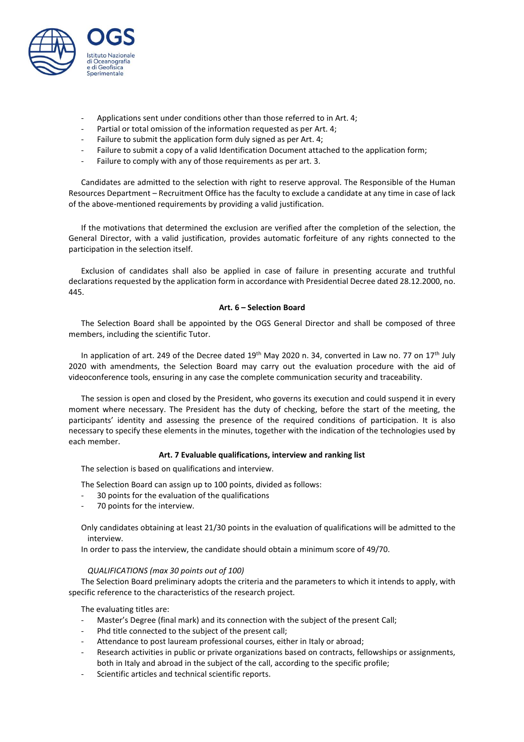

- Applications sent under conditions other than those referred to in Art. 4;
- Partial or total omission of the information requested as per Art. 4;
- Failure to submit the application form duly signed as per Art. 4;
- Failure to submit a copy of a valid Identification Document attached to the application form;
- Failure to [comply](http://context.reverso.net/traduzione/inglese-italiano/to+comply+with+any) with any of those [requirements](http://context.reverso.net/traduzione/inglese-italiano/requirements) as per art. 3.

Candidates are admitted to the selection with right to reserve approval. The Responsible of the Human Resources Department – Recruitment Office has the faculty to exclude a candidate at any time in case of lack of the above-mentioned requirements by providing a valid justification.

If the motivations that determined the exclusion are verified after the completion of the selection, the General Director, with a valid justification, provides automatic forfeiture of any rights connected to the participation in the selection itself.

Exclusion of candidates shall also be applied in case of failure in presenting accurate and truthful declarations requested by the application form in accordance with Presidential Decree dated 28.12.2000, no. 445.

## **Art. 6 – Selection Board**

The Selection Board shall be appointed by the OGS General Director and shall be composed of three members, including the scientific Tutor.

In application of art. 249 of the Decree dated 19<sup>th</sup> May 2020 n. 34, converted in Law no. 77 on 17<sup>th</sup> July 2020 with amendments, the Selection Board may carry out the evaluation procedure with the aid of videoconference tools, ensuring in any case the complete communication security and traceability.

The session is open and closed by the President, who governs its execution and could suspend it in every moment where necessary. The President has the duty of checking, before the start of the meeting, the participants' identity and assessing the presence of the required conditions of participation. It is also necessary to specify these elements in the minutes, together with the indication of the technologies used by each member.

### **Art. 7 Evaluable qualifications, interview and ranking list**

The selection is based on qualifications and interview.

The Selection Board can assign up to 100 points, divided as follows:

- 30 points for the evaluation of the qualifications
- 70 points for the interview.

Only candidates obtaining at least 21/30 points in the evaluation of qualifications will be admitted to the interview.

In order to pass the interview, the candidate should obtain a minimum score of 49/70.

### *QUALIFICATIONS (max 30 points out of 100)*

The Selection Board preliminary adopts the criteria and the parameters to which it intends to apply, with specific reference to the characteristics of the research project.

The evaluating titles are:

- Master's Degree (final mark) and its connection with the subject of the present Call;
- Phd title connected to the subject of the present call;
- Attendance to post lauream professional courses, either in Italy or abroad;
- Research activities in public or private organizations based on contracts, fellowships or assignments, both in Italy and abroad in the subject of the call, according to the specific profile;
- Scientific articles and technical scientific reports.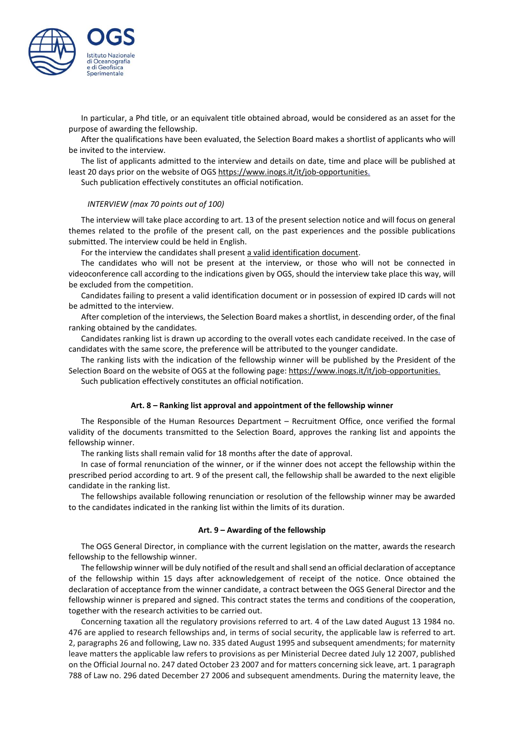

In particular, a Phd title, or an equivalent title obtained abroad, would be considered as an asset for the purpose of awarding the fellowship.

After the qualifications have been evaluated, the Selection Board makes a shortlist of applicants who will be invited to the interview.

The list of applicants admitted to the interview and details on date, time and place will be published at least 20 days prior on the website of OGS [https://www.inogs.it/it/job-opportunities.](https://www.inogs.it/it/job-opportunities)

Such publication effectively constitutes an official notification.

#### *INTERVIEW (max 70 points out of 100)*

The interview will take place according to art. 13 of the present selection notice and will focus on general themes related to the profile of the present call, on the past experiences and the possible publications submitted. The interview could be held in English.

For the interview the candidates shall present a valid identification document.

The candidates who will not be present at the interview, or those who will not be connected in videoconference call according to the indications given by OGS, should the interview take place this way, will be excluded from the competition.

Candidates failing to present a valid identification document or in possession of expired ID cards will not be admitted to the interview.

After completion of the interviews, the Selection Board makes a shortlist, in descending order, of the final ranking obtained by the candidates.

Candidates ranking list is drawn up according to the overall votes each candidate received. In the case of candidates with the same score, the preference will be attributed to the younger candidate.

The ranking lists with the indication of the fellowship winner will be published by the President of the Selection Board on the website of OGS at the following page: [https://www.inogs.it/it/job-opportunities.](https://www.inogs.it/it/job-opportunities) Such publication effectively constitutes an official notification.

#### **Art. 8 – Ranking list approval and appointment of the fellowship winner**

The Responsible of the Human Resources Department – Recruitment Office, once verified the formal validity of the documents transmitted to the Selection Board, approves the ranking list and appoints the fellowship winner.

The ranking lists shall remain valid for 18 months after the date of approval.

In case of formal renunciation of the winner, or if the winner does not accept the fellowship within the prescribed period according to art. 9 of the present call, the fellowship shall be awarded to the next eligible candidate in the ranking list.

The fellowships available following renunciation or resolution of the fellowship winner may be awarded to the candidates indicated in the ranking list within the limits of its duration.

#### **Art. 9 – Awarding of the fellowship**

The OGS General Director, in compliance with the current legislation on the matter, awards the research fellowship to the fellowship winner.

The fellowship winner will be duly notified of the result and shallsend an official declaration of acceptance of the fellowship within 15 days after acknowledgement of receipt of the notice. Once obtained the declaration of acceptance from the winner candidate, a contract between the OGS General Director and the fellowship winner is prepared and signed. This contract states the terms and conditions of the cooperation, together with the research activities to be carried out.

Concerning taxation all the regulatory provisions referred to art. 4 of the Law dated August 13 1984 no. 476 are applied to research fellowships and, in terms of social security, the applicable law is referred to art. 2, paragraphs 26 and following, Law no. 335 dated August 1995 and subsequent amendments; for maternity leave matters the applicable law refers to provisions as per Ministerial Decree dated July 12 2007, published on the Official Journal no. 247 dated October 23 2007 and for matters concerning sick leave, art. 1 paragraph 788 of Law no. 296 dated December 27 2006 and subsequent amendments. During the maternity leave, the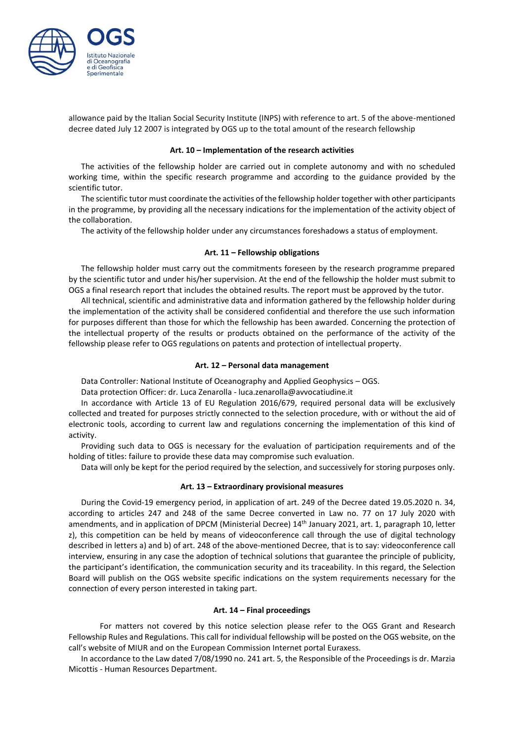

allowance paid by the Italian Social Security Institute (INPS) with reference to art. 5 of the above-mentioned decree dated July 12 2007 is integrated by OGS up to the total amount of the research fellowship

#### **Art. 10 – Implementation of the research activities**

The activities of the fellowship holder are carried out in complete autonomy and with no scheduled working time, within the specific research programme and according to the guidance provided by the scientific tutor.

The scientific tutor must coordinate the activities of the fellowship holder together with other participants in the programme, by providing all the necessary indications for the implementation of the activity object of the collaboration.

The activity of the fellowship holder under any circumstances foreshadows a status of employment.

### **Art. 11 – Fellowship obligations**

The fellowship holder must carry out the commitments foreseen by the research programme prepared by the scientific tutor and under his/her supervision. At the end of the fellowship the holder must submit to OGS a final research report that includes the obtained results. The report must be approved by the tutor.

All technical, scientific and administrative data and information gathered by the fellowship holder during the implementation of the activity shall be considered confidential and therefore the use such information for purposes different than those for which the fellowship has been awarded. Concerning the protection of the intellectual property of the results or products obtained on the performance of the activity of the fellowship please refer to OGS regulations on patents and protection of intellectual property.

#### **Art. 12 – Personal data management**

Data Controller: National Institute of Oceanography and Applied Geophysics – OGS.

Data protection Officer: dr. Luca Zenarolla - [luca.zenarolla@avvocatiudine.it](mailto:luca.zenarolla@avvocatiudine.it)

In accordance with Article 13 of EU Regulation 2016/679, required personal data will be exclusively collected and treated for purposes strictly connected to the selection procedure, with or without the aid of electronic tools, according to current law and regulations concerning the implementation of this kind of activity.

Providing such data to OGS is necessary for the evaluation of participation requirements and of the holding of titles: failure to provide these data may compromise such evaluation.

Data will only be kept for the period required by the selection, and successively for storing purposes only.

#### **Art. 13 – Extraordinary provisional measures**

During the Covid-19 emergency period, in application of art. 249 of the Decree dated 19.05.2020 n. 34, according to articles 247 and 248 of the same Decree converted in Law no. 77 on 17 July 2020 with amendments, and in application of DPCM (Ministerial Decree) 14<sup>th</sup> January 2021, art. 1, paragraph 10, letter z), this competition can be held by means of videoconference call through the use of digital technology described in letters a) and b) of art. 248 of the above-mentioned Decree, that is to say: videoconference call interview, ensuring in any case the adoption of technical solutions that guarantee the principle of publicity, the participant's identification, the communication security and its traceability. In this regard, the Selection Board will publish on the OGS website specific indications on the system requirements necessary for the connection of every person interested in taking part.

#### **Art. 14 – Final proceedings**

For matters not covered by this notice selection please refer to the OGS Grant and Research Fellowship Rules and Regulations. This call for individual fellowship will be posted on the OGS website, on the call's website of MIUR and on the European Commission Internet portal Euraxess.

In accordance to the Law dated 7/08/1990 no. 241 art. 5, the Responsible of the Proceedings is dr. Marzia Micottis - Human Resources Department.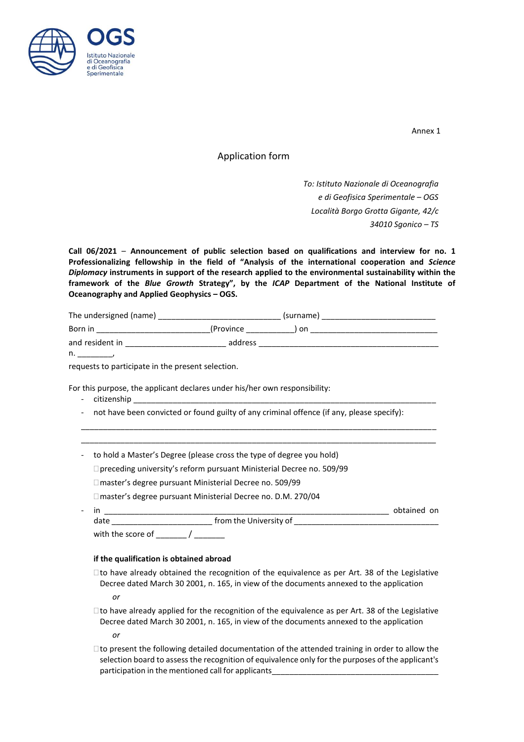

Annex 1

Application form

*To: Istituto Nazionale di Oceanografia e di Geofisica Sperimentale – OGS Località Borgo Grotta Gigante, 42/c 34010 Sgonico – TS*

**Call 06/2021** – **Announcement of public selection based on qualifications and interview for no. 1 Professionalizing fellowship in the field of "Analysis of the international cooperation and** *Science Diplomacy* **instruments in support of the research applied to the environmental sustainability within the framework of the** *Blue Growth* **Strategy", by the** *ICAP* **Department of the National Institute of Oceanography and Applied Geophysics – OGS.**

| The undersigned (name) |            | (surname) |  |
|------------------------|------------|-----------|--|
| Born in                | (Province) | ) on      |  |
| and resident in        | address    |           |  |

 $n_{\cdot}$ 

requests to participate in the present selection.

For this purpose, the applicant declares under his/her own responsibility:

- citizenship
- not have been convicted or found guilty of any criminal offence (if any, please specify):

\_\_\_\_\_\_\_\_\_\_\_\_\_\_\_\_\_\_\_\_\_\_\_\_\_\_\_\_\_\_\_\_\_\_\_\_\_\_\_\_\_\_\_\_\_\_\_\_\_\_\_\_\_\_\_\_\_\_\_\_\_\_\_\_\_\_\_\_\_\_\_\_\_\_\_\_\_\_\_\_\_ \_\_\_\_\_\_\_\_\_\_\_\_\_\_\_\_\_\_\_\_\_\_\_\_\_\_\_\_\_\_\_\_\_\_\_\_\_\_\_\_\_\_\_\_\_\_\_\_\_\_\_\_\_\_\_\_\_\_\_\_\_\_\_\_\_\_\_\_\_\_\_\_\_\_\_\_\_\_\_\_\_

- to hold a Master's Degree (please cross the type of degree you hold)
	- preceding university's reform pursuant Ministerial Decree no. 509/99

□ master's degree pursuant Ministerial Decree no. 509/99

master's degree pursuant Ministerial Decree no. D.M. 270/04

| - |                   |                        | obtained on |
|---|-------------------|------------------------|-------------|
|   | date              | from the University of |             |
|   | with the score of |                        |             |

### **if the qualification is obtained abroad**

 $\square$  to have already obtained the recognition of the equivalence as per Art. 38 of the Legislative Decree dated March 30 2001, n. 165, in view of the documents annexed to the application

*or*

 $\Box$  to have already applied for the recognition of the equivalence as per Art. 38 of the Legislative Decree dated March 30 2001, n. 165, in view of the documents annexed to the application *or*

 $\Box$  to present the following detailed documentation of the attended training in order to allow the selection board to assess the recognition of equivalence only for the purposes of the applicant's participation in the mentioned call for applicants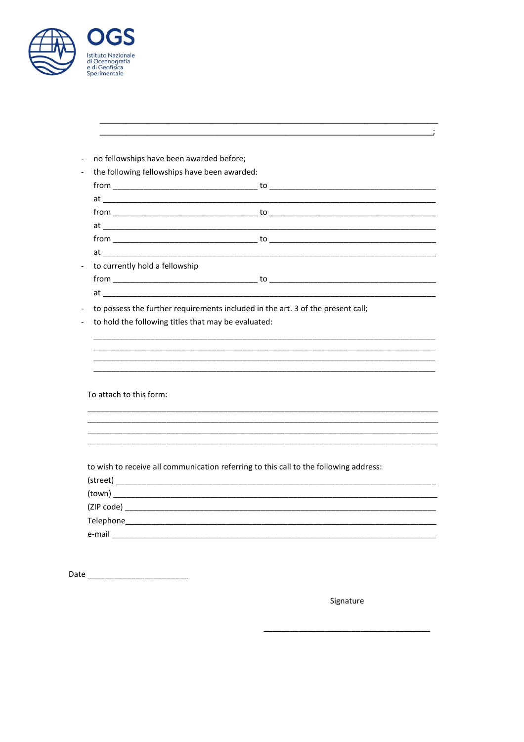| <b>Istituto Nazionale</b><br>di Oceanografia<br>e di Geofisica<br>Sperimentale |
|--------------------------------------------------------------------------------|

|                                                     | $at$ $\overline{\phantom{a}}$                                                   |  |  |
|-----------------------------------------------------|---------------------------------------------------------------------------------|--|--|
| to currently hold a fellowship                      |                                                                                 |  |  |
|                                                     |                                                                                 |  |  |
|                                                     |                                                                                 |  |  |
|                                                     | to possess the further requirements included in the art. 3 of the present call; |  |  |
| to hold the following titles that may be evaluated: |                                                                                 |  |  |

To attach to this form:

to wish to receive all communication referring to this call to the following address:

| (street)   |  |  |  |
|------------|--|--|--|
| (town)     |  |  |  |
| (ZIP code) |  |  |  |
| Telephone  |  |  |  |
| e-mail     |  |  |  |

Signature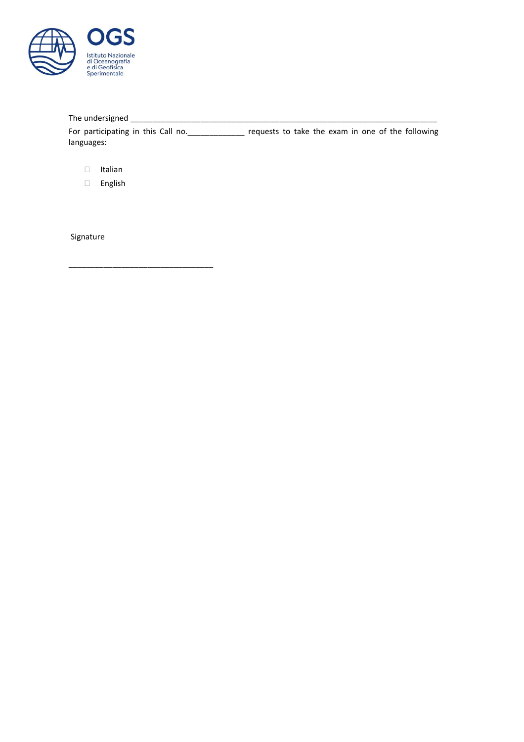

# The undersigned \_\_\_\_\_\_\_\_\_\_\_\_\_\_\_\_\_\_\_\_\_\_\_\_\_\_\_\_\_\_\_\_\_\_\_\_\_\_\_\_\_\_\_\_\_\_\_\_\_\_\_\_\_\_\_\_\_\_\_\_\_\_\_\_\_\_\_\_\_\_

For participating in this Call no. \_\_\_\_\_\_\_\_\_\_\_\_\_\_ requests to take the exam in one of the following languages:

Italian

English

\_\_\_\_\_\_\_\_\_\_\_\_\_\_\_\_\_\_\_\_\_\_\_\_\_\_\_\_\_\_\_\_\_

Signature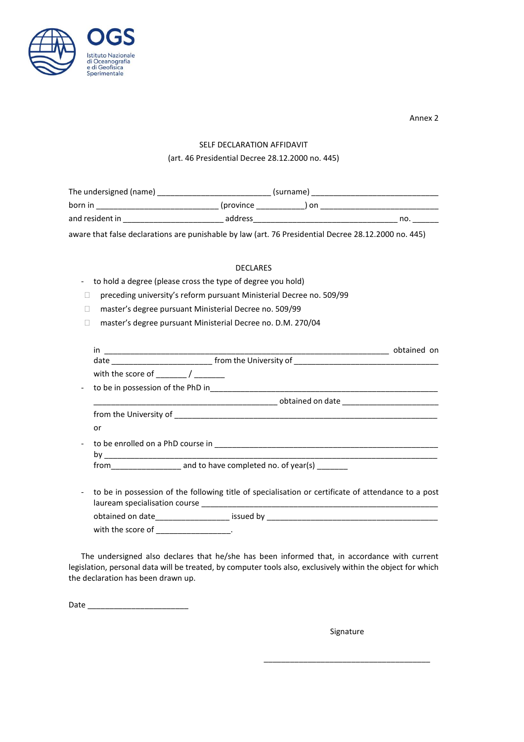

Annex 2

# SELF DECLARATION AFFIDAVIT

# (art. 46 Presidential Decree 28.12.2000 no. 445)

| The undersigned (name) |            | (surname) |     |  |
|------------------------|------------|-----------|-----|--|
| born in                | (province) | ) on      |     |  |
| and resident in        | address    |           | no. |  |

aware that false declarations are punishable by law (art. 76 Presidential Decree 28.12.2000 no. 445)

# DECLARES

## - to hold a degree (please cross the type of degree you hold)

- preceding university's reform pursuant Ministerial Decree no. 509/99
- □ master's degree pursuant Ministerial Decree no. 509/99
- □ master's degree pursuant Ministerial Decree no. D.M. 270/04

| with the score of Theory Assembly                                                                   |
|-----------------------------------------------------------------------------------------------------|
|                                                                                                     |
|                                                                                                     |
|                                                                                                     |
| or                                                                                                  |
|                                                                                                     |
|                                                                                                     |
| to be in possession of the following title of specialisation or certificate of attendance to a post |
| obtained on date____________________ issued by __________________________________                   |
| with the score of ______________________.                                                           |

The undersigned also declares that he/she has been informed that, in accordance with current legislation, personal data will be treated, by computer tools also, exclusively within the object for which the declaration has been drawn up.

Date \_\_\_\_\_\_\_\_\_\_\_\_\_\_\_\_\_\_\_\_\_\_\_

Signature

\_\_\_\_\_\_\_\_\_\_\_\_\_\_\_\_\_\_\_\_\_\_\_\_\_\_\_\_\_\_\_\_\_\_\_\_\_\_